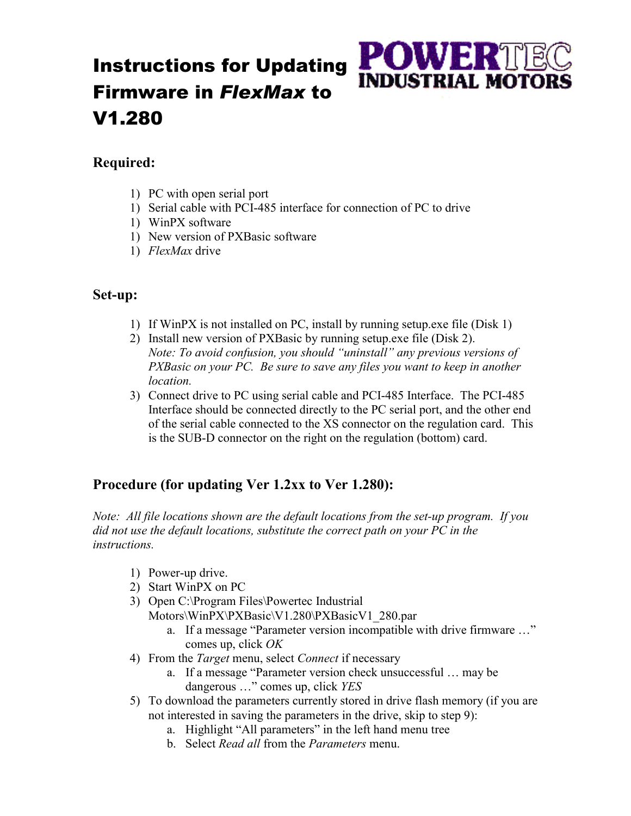## Instructions for Updating Firmware in *FlexMax* to V1.280

## **Required:**

- 1) PC with open serial port
- 1) Serial cable with PCI-485 interface for connection of PC to drive

**POWER** 

**INDUSTRIAL MOTO** 

- 1) WinPX software
- 1) New version of PXBasic software
- 1) *FlexMax* drive

## **Set-up:**

- 1) If WinPX is not installed on PC, install by running setup.exe file (Disk 1)
- 2) Install new version of PXBasic by running setup.exe file (Disk 2). *Note: To avoid confusion, you should "uninstall" any previous versions of PXBasic on your PC. Be sure to save any files you want to keep in another location.*
- 3) Connect drive to PC using serial cable and PCI-485 Interface. The PCI-485 Interface should be connected directly to the PC serial port, and the other end of the serial cable connected to the XS connector on the regulation card. This is the SUB-D connector on the right on the regulation (bottom) card.

## **Procedure (for updating Ver 1.2xx to Ver 1.280):**

*Note: All file locations shown are the default locations from the set-up program. If you did not use the default locations, substitute the correct path on your PC in the instructions.* 

- 1) Power-up drive.
- 2) Start WinPX on PC
- 3) Open C:\Program Files\Powertec Industrial Motors\WinPX\PXBasic\V1.280\PXBasicV1\_280.par
	- a. If a message "Parameter version incompatible with drive firmware …" comes up, click *OK*
- 4) From the *Target* menu, select *Connect* if necessary
	- a. If a message "Parameter version check unsuccessful … may be dangerous …" comes up, click *YES*
- 5) To download the parameters currently stored in drive flash memory (if you are not interested in saving the parameters in the drive, skip to step 9):
	- a. Highlight "All parameters" in the left hand menu tree
	- b. Select *Read all* from the *Parameters* menu.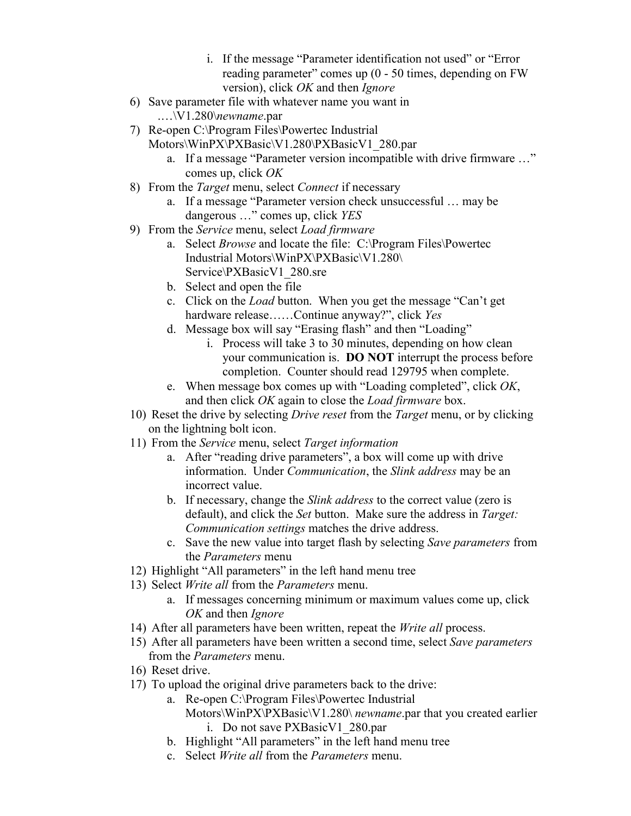- i. If the message "Parameter identification not used" or "Error reading parameter" comes up (0 - 50 times, depending on FW version), click *OK* and then *Ignore*
- 6) Save parameter file with whatever name you want in .…\V1.280\*newname*.par
- 7) Re-open C:\Program Files\Powertec Industrial Motors\WinPX\PXBasic\V1.280\PXBasicV1\_280.par
	- a. If a message "Parameter version incompatible with drive firmware …" comes up, click *OK*
- 8) From the *Target* menu, select *Connect* if necessary
	- a. If a message "Parameter version check unsuccessful … may be dangerous …" comes up, click *YES*
- 9) From the *Service* menu, select *Load firmware*
	- a. Select *Browse* and locate the file: C:\Program Files\Powertec Industrial Motors\WinPX\PXBasic\V1.280\ Service\PXBasicV1\_280.sre
	- b. Select and open the file
	- c. Click on the *Load* button. When you get the message "Can't get hardware release……Continue anyway?", click *Yes*
	- d. Message box will say "Erasing flash" and then "Loading"
		- i. Process will take 3 to 30 minutes, depending on how clean your communication is. **DO NOT** interrupt the process before completion. Counter should read 129795 when complete.
	- e. When message box comes up with "Loading completed", click *OK*, and then click *OK* again to close the *Load firmware* box.
- 10) Reset the drive by selecting *Drive reset* from the *Target* menu, or by clicking on the lightning bolt icon.
- 11) From the *Service* menu, select *Target information*
	- a. After "reading drive parameters", a box will come up with drive information. Under *Communication*, the *Slink address* may be an incorrect value.
	- b. If necessary, change the *Slink address* to the correct value (zero is default), and click the *Set* button. Make sure the address in *Target: Communication settings* matches the drive address.
	- c. Save the new value into target flash by selecting *Save parameters* from the *Parameters* menu
- 12) Highlight "All parameters" in the left hand menu tree
- 13) Select *Write all* from the *Parameters* menu.
	- a. If messages concerning minimum or maximum values come up, click *OK* and then *Ignore*
- 14) After all parameters have been written, repeat the *Write all* process.
- 15) After all parameters have been written a second time, select *Save parameters* from the *Parameters* menu.
- 16) Reset drive.
- 17) To upload the original drive parameters back to the drive:
	- a. Re-open C:\Program Files\Powertec Industrial
		- Motors\WinPX\PXBasic\V1.280\ *newname*.par that you created earlier i. Do not save PXBasicV1\_280.par
	- b. Highlight "All parameters" in the left hand menu tree
	- c. Select *Write all* from the *Parameters* menu.